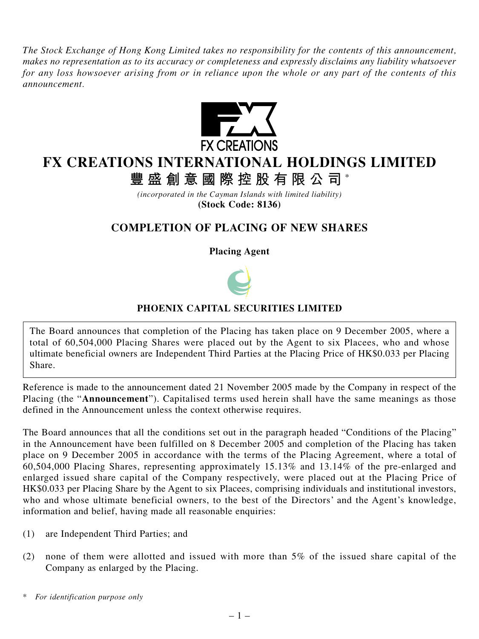*The Stock Exchange of Hong Kong Limited takes no responsibility for the contents of this announcement, makes no representation as to its accuracy or completeness and expressly disclaims any liability whatsoever for any loss howsoever arising from or in reliance upon the whole or any part of the contents of this announcement.*



## **FX CREATIONS INTERNATIONAL HOLDINGS LIMITED**

**豐盛創意國際控股有限公司** \*

*(incorporated in the Cayman Islands with limited liability)* **(Stock Code: 8136)**

## **COMPLETION OF PLACING OF NEW SHARES**

**Placing Agent**



## **PHOENIX CAPITAL SECURITIES LIMITED**

The Board announces that completion of the Placing has taken place on 9 December 2005, where a total of 60,504,000 Placing Shares were placed out by the Agent to six Placees, who and whose ultimate beneficial owners are Independent Third Parties at the Placing Price of HK\$0.033 per Placing Share.

Reference is made to the announcement dated 21 November 2005 made by the Company in respect of the Placing (the "**Announcement**"). Capitalised terms used herein shall have the same meanings as those defined in the Announcement unless the context otherwise requires.

The Board announces that all the conditions set out in the paragraph headed "Conditions of the Placing" in the Announcement have been fulfilled on 8 December 2005 and completion of the Placing has taken place on 9 December 2005 in accordance with the terms of the Placing Agreement, where a total of 60,504,000 Placing Shares, representing approximately 15.13% and 13.14% of the pre-enlarged and enlarged issued share capital of the Company respectively, were placed out at the Placing Price of HK\$0.033 per Placing Share by the Agent to six Placees, comprising individuals and institutional investors, who and whose ultimate beneficial owners, to the best of the Directors' and the Agent's knowledge, information and belief, having made all reasonable enquiries:

- (1) are Independent Third Parties; and
- (2) none of them were allotted and issued with more than 5% of the issued share capital of the Company as enlarged by the Placing.

*<sup>\*</sup> For identification purpose only*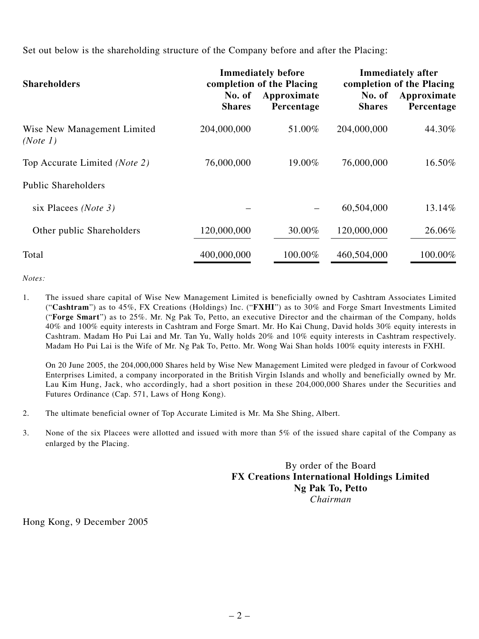Set out below is the shareholding structure of the Company before and after the Placing:

| <b>Shareholders</b>                     | No. of<br><b>Shares</b> | <b>Immediately before</b><br>completion of the Placing<br>Approximate<br>Percentage | No. of<br><b>Shares</b> | <b>Immediately after</b><br>completion of the Placing<br>Approximate<br>Percentage |
|-----------------------------------------|-------------------------|-------------------------------------------------------------------------------------|-------------------------|------------------------------------------------------------------------------------|
| Wise New Management Limited<br>(Note 1) | 204,000,000             | 51.00%                                                                              | 204,000,000             | 44.30%                                                                             |
| Top Accurate Limited (Note 2)           | 76,000,000              | 19.00%                                                                              | 76,000,000              | 16.50%                                                                             |
| <b>Public Shareholders</b>              |                         |                                                                                     |                         |                                                                                    |
| six Placees ( <i>Note 3</i> )           |                         |                                                                                     | 60,504,000              | 13.14%                                                                             |
| Other public Shareholders               | 120,000,000             | 30.00%                                                                              | 120,000,000             | 26.06%                                                                             |
| Total                                   | 400,000,000             | 100.00%                                                                             | 460,504,000             | 100.00%                                                                            |

*Notes:*

1. The issued share capital of Wise New Management Limited is beneficially owned by Cashtram Associates Limited ("**Cashtram**") as to 45%, FX Creations (Holdings) Inc. ("**FXHI**") as to 30% and Forge Smart Investments Limited ("**Forge Smart**") as to 25%. Mr. Ng Pak To, Petto, an executive Director and the chairman of the Company, holds 40% and 100% equity interests in Cashtram and Forge Smart. Mr. Ho Kai Chung, David holds 30% equity interests in Cashtram. Madam Ho Pui Lai and Mr. Tan Yu, Wally holds 20% and 10% equity interests in Cashtram respectively. Madam Ho Pui Lai is the Wife of Mr. Ng Pak To, Petto. Mr. Wong Wai Shan holds 100% equity interests in FXHI.

On 20 June 2005, the 204,000,000 Shares held by Wise New Management Limited were pledged in favour of Corkwood Enterprises Limited, a company incorporated in the British Virgin Islands and wholly and beneficially owned by Mr. Lau Kim Hung, Jack, who accordingly, had a short position in these 204,000,000 Shares under the Securities and Futures Ordinance (Cap. 571, Laws of Hong Kong).

- 2. The ultimate beneficial owner of Top Accurate Limited is Mr. Ma She Shing, Albert.
- 3. None of the six Placees were allotted and issued with more than 5% of the issued share capital of the Company as enlarged by the Placing.

By order of the Board **FX Creations International Holdings Limited Ng Pak To, Petto** *Chairman*

Hong Kong, 9 December 2005